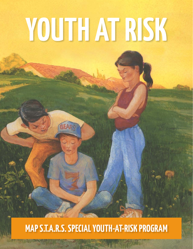# **YOUTH AT RISK**

# **MAP S.T.A.R.S. SPECIAL YOUTH-AT-RISK PROGRAM**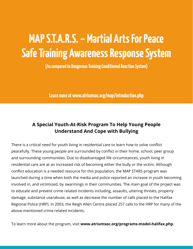# **MAP S.T.A.R.S. – Martial Arts For Peace Safe Training Awareness Response System**

**(As compared to Dangerous Training Conditioned Reaction System)**

**Learn more at www.atriumsoc.org/map/introduction.php** 

#### **A Special Youth-At-Risk Program To Help Young People Understand And Cope with Bullying**

There is a critical need for youth living in residential care to learn how to solve conflict peacefully. These young people are surrounded by conflict in their home, school, peer group and surrounding communities. Due to disadvantaged life circumstances, youth living in residential care are at an increased risk of becoming either the bully or the victim. Although conflict education is a needed resource for this population, the MAP STARS program was launched during a time when both the media and police reported an increase in youth becoming involved in, and victimized, by swarmings in their communities. The main goal of the project was to educate and prevent crime related incidents including, assaults, uttering threats, property damage, substance use/abuse, as well as decrease the number of calls placed to the Halifax Regional Police (HRP). In 2003, the Reigh Allen Centre placed 257 calls to the HRP for many of the above-mentioned crime related incidents.

To learn more about the program, visit **www.atriumsoc.org/programs-model-halifax.php**.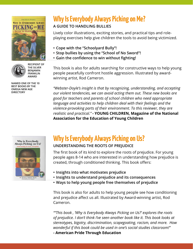



**RECIPIENT OF THE SILVER BENJAMIN FRANKLIN AWARD**

**NAMED ONE OF THE 10 BEST BOOKS BY THE OMEGA NEW AGE DIRECTORY**

# **Why Is Everybody Always Picking on Me?**

#### **A GUIDE TO HANDLING BULLIES**

Lively color illustrations, exciting stories, and practical tips and roleplaying exercises help give children the tools to avoid being victimized.

- **• Cope with the "Schoolyard Bully"!**
- **• Stop bullies by using the "School of No Sword"!**
- **• Gain the confidence to win without fighting!**

This book is also for adults searching for constructive ways to help young people peacefully confront hostile aggression. Illustrated by awardwinning artist, Rod Cameron.

*"Webster-Doyle's insight is that by recognizing, understanding, and accepting our violent tendencies, we can avoid acting them out. These new books are good for teachers and parents of school children who need appropriate language and activities to help children deal with their feelings and the violence-provoking parts of their environment. To this reviewer, they are realistic and practical."* **- YOUNG CHILDREN, Magazine of the National Association for the Education of Young Children**



# **Why Is Everybody Always Picking on Us?**

#### **UNDERSTANDING THE ROOTS OF PREJUDICE**

The first book of its kind to explore the roots of prejudice. For young people ages 8-14 who are interested in understanding how prejudice is created, through conditioned thinking. This book offers:

- **• Insights into what motivates prejudice**
- **• Insights to understand prejudice and its consequences**
- **• Ways to help young people free themselves of prejudice**

This book is also for adults to help young people see how conditioning and prejudice affect us all. Illustrated by Award-winning artist, Rod Cameron.

*""This book , 'Why is Everybody Always Picking on Us?' explores the roots of prejudice. I don't think I've seen another book like it. This book looks at stereotypes, bigotry, discrimination, scapegoating, racism, and more. How wonderful if this book could be used in one's social studies classroom!"*

**- American Pride Through Education**